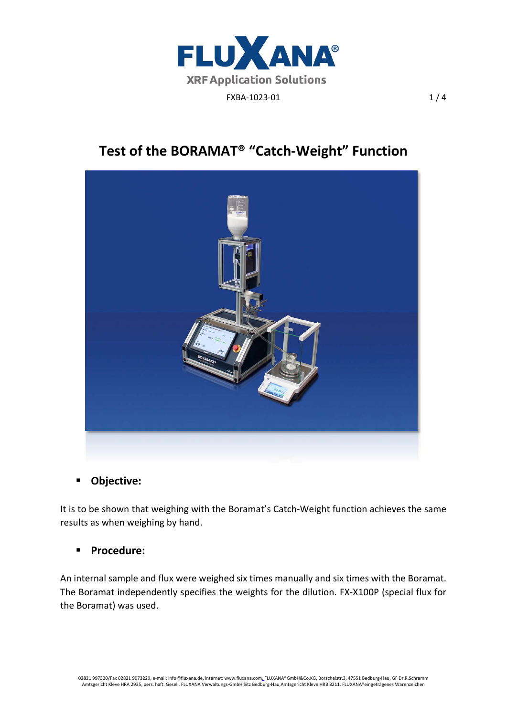

# **Test of the BORAMAT® "Catch‐Weight" Function**



# $\blacksquare$  Objective:

It is to be shown that weighing with the Boramat's Catch‐Weight function achieves the same results as when weighing by hand.

## **Procedure:**

An internal sample and flux were weighed six times manually and six times with the Boramat. The Boramat independently specifies the weights for the dilution. FX‐X100P (special flux for the Boramat) was used.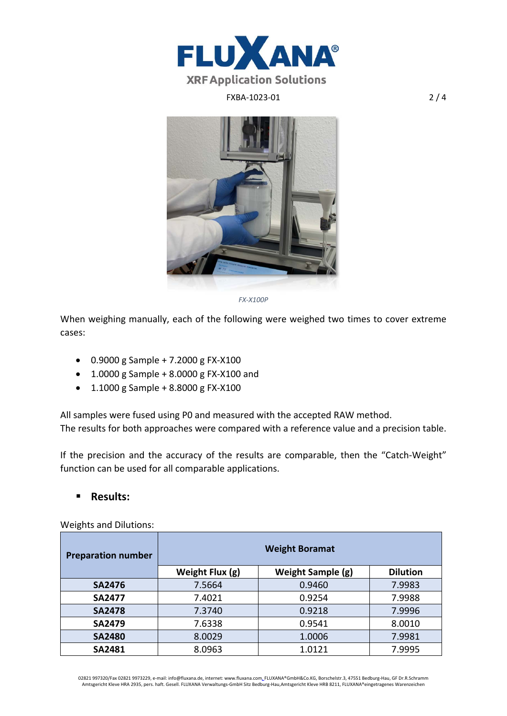

## FXBA-1023-01 2/4



*FX‐X100P*

When weighing manually, each of the following were weighed two times to cover extreme cases:

- 0.9000 g Sample + 7.2000 g FX‐X100
- 1.0000 g Sample + 8.0000 g FX‐X100 and
- 1.1000 g Sample + 8.8000 g FX‐X100

All samples were fused using P0 and measured with the accepted RAW method. The results for both approaches were compared with a reference value and a precision table.

If the precision and the accuracy of the results are comparable, then the "Catch-Weight" function can be used for all comparable applications.

### **Results:**

Weights and Dilutions:

| <b>Preparation number</b> | <b>Weight Boramat</b> |                   |        |  |  |  |  |
|---------------------------|-----------------------|-------------------|--------|--|--|--|--|
|                           | Weight Flux (g)       | Weight Sample (g) |        |  |  |  |  |
| <b>SA2476</b>             | 7.5664                | 0.9460            | 7.9983 |  |  |  |  |
| <b>SA2477</b>             | 7.4021                | 0.9254            | 7.9988 |  |  |  |  |
| <b>SA2478</b>             | 7.3740                | 0.9218            | 7.9996 |  |  |  |  |
| <b>SA2479</b>             | 7.6338                | 0.9541            | 8.0010 |  |  |  |  |
| <b>SA2480</b>             | 8.0029                | 1.0006            | 7.9981 |  |  |  |  |
| <b>SA2481</b>             | 8.0963                | 1.0121            | 7.9995 |  |  |  |  |

02821 997320/Fax 02821 9973229, e‐mail: info@fluxana.de, internet: www.fluxana.com, FLUXANA®GmbH&Co.KG, Borschelstr.3, 47551 Bedburg‐Hau, GF Dr.R.Schramm Amtsgericht Kleve HRA 2935, pers. haft. Gesell. FLUXANA Verwaltungs‐GmbH Sitz Bedburg‐Hau,Amtsgericht Kleve HRB 8211, FLUXANA®eingetragenes Warenzeichen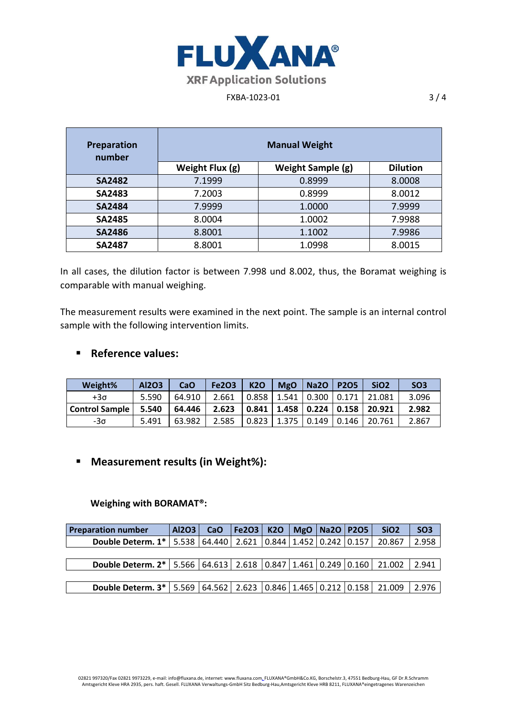

## FXBA-1023-01 3 / 4

| Preparation<br>number | <b>Manual Weight</b> |                   |                 |  |  |  |  |  |
|-----------------------|----------------------|-------------------|-----------------|--|--|--|--|--|
|                       | Weight Flux (g)      | Weight Sample (g) | <b>Dilution</b> |  |  |  |  |  |
| <b>SA2482</b>         | 7.1999               | 0.8999            | 8.0008          |  |  |  |  |  |
| <b>SA2483</b>         | 7.2003               | 0.8999            | 8.0012          |  |  |  |  |  |
| <b>SA2484</b>         | 7.9999               | 1.0000            | 7.9999          |  |  |  |  |  |
| <b>SA2485</b>         | 8.0004               | 1.0002            | 7.9988          |  |  |  |  |  |
| <b>SA2486</b>         | 8.8001               | 1.1002            | 7.9986          |  |  |  |  |  |
| <b>SA2487</b>         | 8.8001               | 1.0998            | 8.0015          |  |  |  |  |  |

In all cases, the dilution factor is between 7.998 und 8.002, thus, the Boramat weighing is comparable with manual weighing.

The measurement results were examined in the next point. The sample is an internal control sample with the following intervention limits.

## **Reference values:**

| Weight%               | Al2O3 | CaO    | <b>Fe2O3</b> | <b>K20</b>                    | <b>MgO</b> | $\mid$ Na2O $\mid$ | <b>P2O5</b> | Si <sub>O</sub> 2                      | SO <sub>3</sub> |
|-----------------------|-------|--------|--------------|-------------------------------|------------|--------------------|-------------|----------------------------------------|-----------------|
| +3σ                   | 5.590 | 64.910 | 2.661        | 0.858   1.541   0.300   0.171 |            |                    |             | 21.081                                 | 3.096           |
| <b>Control Sample</b> | 5.540 | 64.446 | 2.623        |                               |            |                    |             | 0.841   1.458   0.224   0.158   20.921 | 2.982           |
| -3σ                   | 5.491 | 63.982 | 2.585        | 0.823   1.375   0.149   0.146 |            |                    |             | 20.761                                 | 2.867           |

# **Measurement results (in Weight%):**

### **Weighing with BORAMAT®:**

| <b>Preparation number</b>                                                                  | Al2O3 | CaO | Fe <sub>2O3</sub>                     |  | K2O   MgO   Na2O   P2O5 | SiO <sub>2</sub> | SO <sub>3</sub> |
|--------------------------------------------------------------------------------------------|-------|-----|---------------------------------------|--|-------------------------|------------------|-----------------|
| <b>Double Determ. 1*</b>   5.538   64.440                                                  |       |     | 2.621   0.844   1.452   0.242   0.157 |  |                         | 20.867           | 2.958           |
|                                                                                            |       |     |                                       |  |                         |                  |                 |
| <b>Double Determ. 2*</b>   5.566   64.613   2.618   0.847   1.461   0.249   0.160   21.002 |       |     |                                       |  |                         |                  | 2.941           |
|                                                                                            |       |     |                                       |  |                         |                  |                 |
| <b>Double Determ. 3*</b>   5.569   64.562   2.623   0.846   1.465   0.212   0.158   21.009 |       |     |                                       |  |                         |                  | 2.976           |